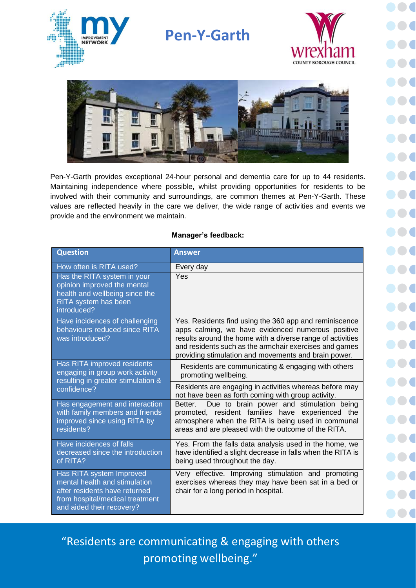

## **Pen-Y-Garth**





Pen-Y-Garth provides exceptional 24-hour personal and dementia care for up to 44 residents. Maintaining independence where possible, whilst providing opportunities for residents to be involved with their community and surroundings, are common themes at Pen-Y-Garth. These values are reflected heavily in the care we deliver, the wide range of activities and events we provide and the environment we maintain.

## **Manager's feedback:**

| <b>Question</b>                                                                                                                                            | <b>Answer</b>                                                                                                                                                                                                                                                                               |
|------------------------------------------------------------------------------------------------------------------------------------------------------------|---------------------------------------------------------------------------------------------------------------------------------------------------------------------------------------------------------------------------------------------------------------------------------------------|
| How often is RITA used?                                                                                                                                    | Every day                                                                                                                                                                                                                                                                                   |
| Has the RITA system in your<br>opinion improved the mental<br>health and wellbeing since the<br>RITA system has been<br>introduced?                        | Yes                                                                                                                                                                                                                                                                                         |
| Have incidences of challenging<br>behaviours reduced since RITA<br>was introduced?                                                                         | Yes. Residents find using the 360 app and reminiscence<br>apps calming, we have evidenced numerous positive<br>results around the home with a diverse range of activities<br>and residents such as the armchair exercises and games<br>providing stimulation and movements and brain power. |
| Has RITA improved residents<br>engaging in group work activity<br>resulting in greater stimulation &<br>confidence?                                        | Residents are communicating & engaging with others<br>promoting wellbeing.                                                                                                                                                                                                                  |
|                                                                                                                                                            | Residents are engaging in activities whereas before may<br>not have been as forth coming with group activity.                                                                                                                                                                               |
| Has engagement and interaction<br>with family members and friends<br>improved since using RITA by<br>residents?                                            | Due to brain power and stimulation being<br>Better.<br>promoted, resident families have experienced the<br>atmosphere when the RITA is being used in communal<br>areas and are pleased with the outcome of the RITA.                                                                        |
| Have incidences of falls<br>decreased since the introduction<br>of RITA?                                                                                   | Yes. From the falls data analysis used in the home, we<br>have identified a slight decrease in falls when the RITA is<br>being used throughout the day.                                                                                                                                     |
| Has RITA system Improved<br>mental health and stimulation<br>after residents have returned<br>from hospital/medical treatment<br>and aided their recovery? | Very effective. Improving stimulation and promoting<br>exercises whereas they may have been sat in a bed or<br>chair for a long period in hospital.                                                                                                                                         |

"Residents are communicating & engaging with others promoting wellbeing."